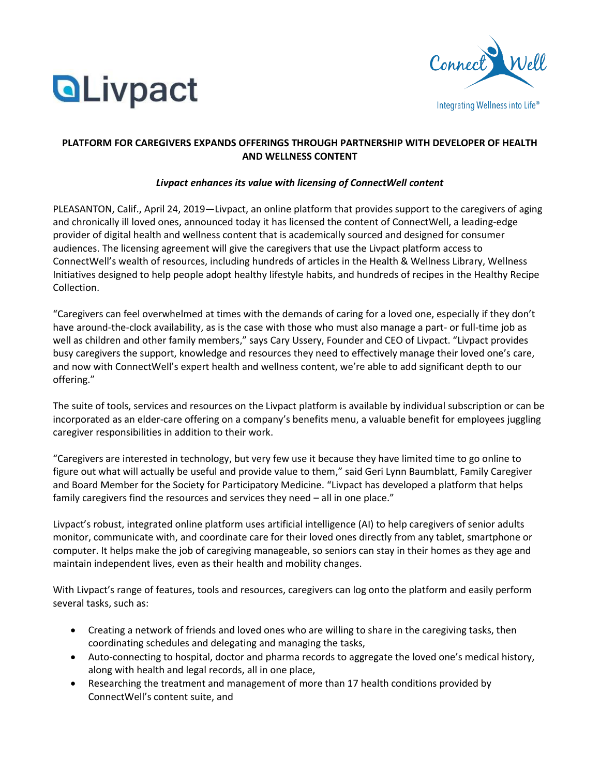



# **PLATFORM FOR CAREGIVERS EXPANDS OFFERINGS THROUGH PARTNERSHIP WITH DEVELOPER OF HEALTH AND WELLNESS CONTENT**

## *Livpact enhances its value with licensing of ConnectWell content*

PLEASANTON, Calif., April 24, 2019—Livpact, an online platform that provides support to the caregivers of aging and chronically ill loved ones, announced today it has licensed the content of ConnectWell, a leading-edge provider of digital health and wellness content that is academically sourced and designed for consumer audiences. The licensing agreement will give the caregivers that use the Livpact platform access to ConnectWell's wealth of resources, including hundreds of articles in the Health & Wellness Library, Wellness Initiatives designed to help people adopt healthy lifestyle habits, and hundreds of recipes in the Healthy Recipe Collection.

"Caregivers can feel overwhelmed at times with the demands of caring for a loved one, especially if they don't have around-the-clock availability, as is the case with those who must also manage a part- or full-time job as well as children and other family members," says Cary Ussery, Founder and CEO of Livpact. "Livpact provides busy caregivers the support, knowledge and resources they need to effectively manage their loved one's care, and now with ConnectWell's expert health and wellness content, we're able to add significant depth to our offering."

The suite of tools, services and resources on the Livpact platform is available by individual subscription or can be incorporated as an elder-care offering on a company's benefits menu, a valuable benefit for employees juggling caregiver responsibilities in addition to their work.

"Caregivers are interested in technology, but very few use it because they have limited time to go online to figure out what will actually be useful and provide value to them," said Geri Lynn Baumblatt, Family Caregiver and Board Member for the Society for Participatory Medicine. "Livpact has developed a platform that helps family caregivers find the resources and services they need – all in one place."

Livpact's robust, integrated online platform uses artificial intelligence (AI) to help caregivers of senior adults monitor, communicate with, and coordinate care for their loved ones directly from any tablet, smartphone or computer. It helps make the job of caregiving manageable, so seniors can stay in their homes as they age and maintain independent lives, even as their health and mobility changes.

With Livpact's range of features, tools and resources, caregivers can log onto the platform and easily perform several tasks, such as:

- Creating a network of friends and loved ones who are willing to share in the caregiving tasks, then coordinating schedules and delegating and managing the tasks,
- Auto-connecting to hospital, doctor and pharma records to aggregate the loved one's medical history, along with health and legal records, all in one place,
- Researching the treatment and management of more than 17 health conditions provided by ConnectWell's content suite, and